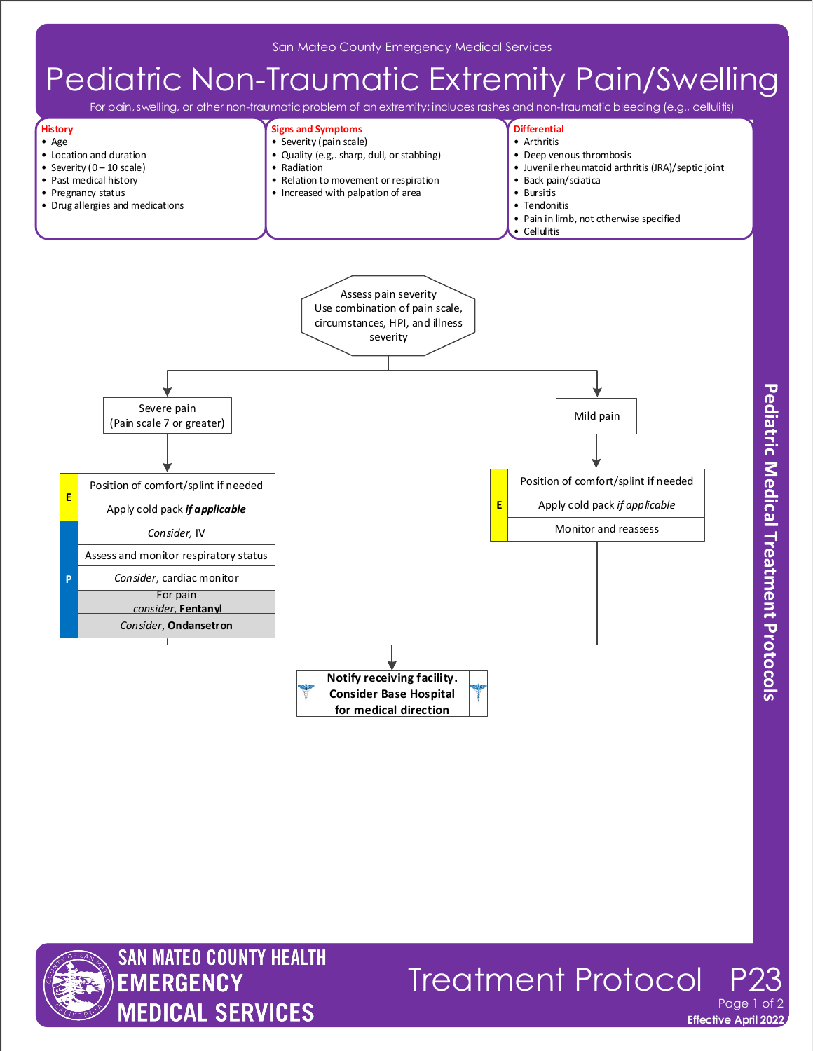# Pediatric Non-Traumatic Extremity Pain/Swelling

For pain, swelling, or other non-traumatic problem of an extremity; includes rashes and non-traumatic bleeding (e.g., cellulitis)